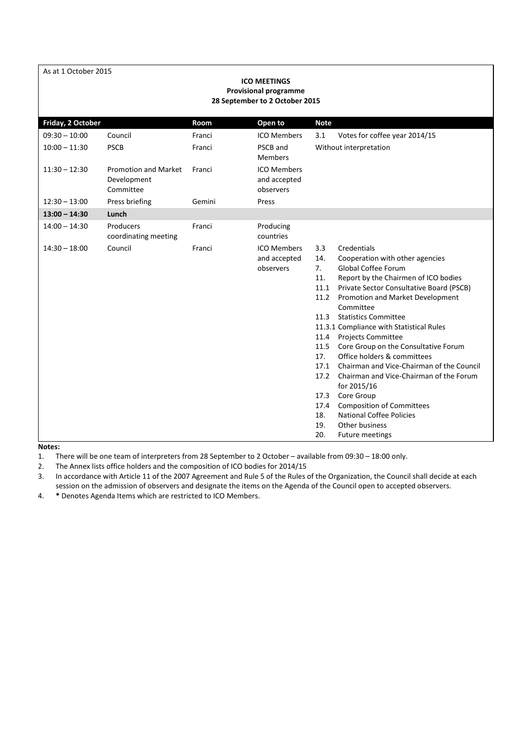|  |  | As at 1 October 2015 |  |
|--|--|----------------------|--|
|--|--|----------------------|--|

| <b>ICO MEETINGS</b><br><b>Provisional programme</b><br>28 September to 2 October 2015 |                                                         |        |                                                 |                                                                                                                             |                                                                                                                                                                                                                                                                                                                                                                                                                                                                                                                                                                                                                                          |  |  |
|---------------------------------------------------------------------------------------|---------------------------------------------------------|--------|-------------------------------------------------|-----------------------------------------------------------------------------------------------------------------------------|------------------------------------------------------------------------------------------------------------------------------------------------------------------------------------------------------------------------------------------------------------------------------------------------------------------------------------------------------------------------------------------------------------------------------------------------------------------------------------------------------------------------------------------------------------------------------------------------------------------------------------------|--|--|
| Friday, 2 October                                                                     |                                                         | Room   | Open to                                         | <b>Note</b>                                                                                                                 |                                                                                                                                                                                                                                                                                                                                                                                                                                                                                                                                                                                                                                          |  |  |
| $09:30 - 10:00$                                                                       | Council                                                 | Franci | <b>ICO Members</b>                              | 3.1                                                                                                                         | Votes for coffee year 2014/15                                                                                                                                                                                                                                                                                                                                                                                                                                                                                                                                                                                                            |  |  |
| $10:00 - 11:30$                                                                       | <b>PSCB</b>                                             | Franci | PSCB and<br><b>Members</b>                      |                                                                                                                             | Without interpretation                                                                                                                                                                                                                                                                                                                                                                                                                                                                                                                                                                                                                   |  |  |
| $11:30 - 12:30$                                                                       | <b>Promotion and Market</b><br>Development<br>Committee | Franci | <b>ICO Members</b><br>and accepted<br>observers |                                                                                                                             |                                                                                                                                                                                                                                                                                                                                                                                                                                                                                                                                                                                                                                          |  |  |
| $12:30 - 13:00$                                                                       | Press briefing                                          | Gemini | Press                                           |                                                                                                                             |                                                                                                                                                                                                                                                                                                                                                                                                                                                                                                                                                                                                                                          |  |  |
| $13:00 - 14:30$                                                                       | Lunch                                                   |        |                                                 |                                                                                                                             |                                                                                                                                                                                                                                                                                                                                                                                                                                                                                                                                                                                                                                          |  |  |
| $14:00 - 14:30$                                                                       | Producers<br>coordinating meeting                       | Franci | Producing<br>countries                          |                                                                                                                             |                                                                                                                                                                                                                                                                                                                                                                                                                                                                                                                                                                                                                                          |  |  |
| $14:30 - 18:00$                                                                       | Council                                                 | Franci | <b>ICO Members</b><br>and accepted<br>observers | 3.3<br>14.<br>7.<br>11.<br>11.1<br>11.2<br>11.3<br>11.4<br>11.5<br>17.<br>17.1<br>17.2<br>17.3<br>17.4<br>18.<br>19.<br>20. | Credentials<br>Cooperation with other agencies<br><b>Global Coffee Forum</b><br>Report by the Chairmen of ICO bodies<br>Private Sector Consultative Board (PSCB)<br>Promotion and Market Development<br>Committee<br><b>Statistics Committee</b><br>11.3.1 Compliance with Statistical Rules<br><b>Projects Committee</b><br>Core Group on the Consultative Forum<br>Office holders & committees<br>Chairman and Vice-Chairman of the Council<br>Chairman and Vice-Chairman of the Forum<br>for 2015/16<br>Core Group<br><b>Composition of Committees</b><br><b>National Coffee Policies</b><br>Other business<br><b>Future meetings</b> |  |  |

#### **Notes:**

1. There will be one team of interpreters from 28 September to 2 October – available from 09:30 – 18:00 only.

2. The Annex lists office holders and the composition of ICO bodies for 2014/15

3. In accordance with Article 11 of the 2007 Agreement and Rule 5 of the Rules of the Organization, the Council shall decide at each session on the admission of observers and designate the items on the Agenda of the Council open to accepted observers.

4. **\*** Denotes Agenda Items which are restricted to ICO Members.